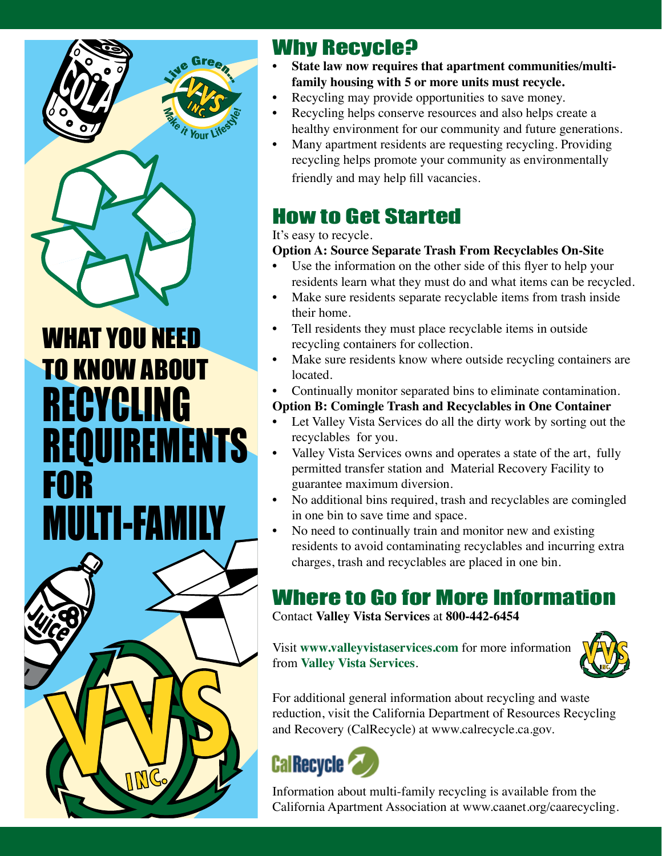

WHAT YOU NEED TO KNOW ABOUT RECYCLING REQUIREMENTS FOR **MULTI-FAMI** 



#### Why Recycle?

- **State law now requires that apartment communities/multifamily housing with 5 or more units must recycle.**
- Recycling may provide opportunities to save money.
- Recycling helps conserve resources and also helps create a healthy environment for our community and future generations.
- Many apartment residents are requesting recycling. Providing recycling helps promote your community as environmentally friendly and may help fill vacancies.

### How to Get Started

#### It's easy to recycle.

#### **Option A: Source Separate Trash From Recyclables On-Site**

- Use the information on the other side of this flyer to help your residents learn what they must do and what items can be recycled.
- Make sure residents separate recyclable items from trash inside their home.
- Tell residents they must place recyclable items in outside recycling containers for collection.
- Make sure residents know where outside recycling containers are located.
- Continually monitor separated bins to eliminate contamination.
- **Option B: Comingle Trash and Recyclables in One Container**
- Let Valley Vista Services do all the dirty work by sorting out the recyclables for you.
- Valley Vista Services owns and operates a state of the art, fully permitted transfer station and Material Recovery Facility to guarantee maximum diversion.
- No additional bins required, trash and recyclables are comingled in one bin to save time and space.
- No need to continually train and monitor new and existing residents to avoid contaminating recyclables and incurring extra charges, trash and recyclables are placed in one bin.

### Where to Go for More Information

Contact **Valley Vista Services** at **800-442-6454**

Visit **www.valleyvistaservices.com** for more information from **Valley Vista Services**.



For additional general information about recycling and waste reduction, visit the California Department of Resources Recycling and Recovery (CalRecycle) at www.calrecycle.ca.gov.



Information about multi-family recycling is available from the California Apartment Association at www.caanet.org/caarecycling.